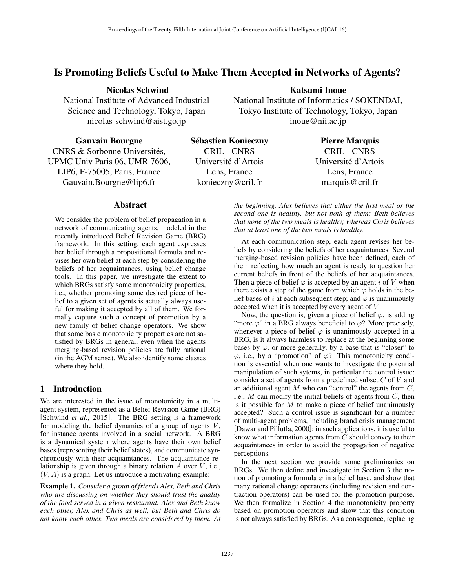# Is Promoting Beliefs Useful to Make Them Accepted in Networks of Agents?

Nicolas Schwind

National Institute of Advanced Industrial Science and Technology, Tokyo, Japan nicolas-schwind@aist.go.jp

Katsumi Inoue

National Institute of Informatics / SOKENDAI, Tokyo Institute of Technology, Tokyo, Japan inoue@nii.ac.jp

Gauvain Bourgne

CNRS & Sorbonne Universités, UPMC Univ Paris 06, UMR 7606, LIP6, F-75005, Paris, France Gauvain.Bourgne@lip6.fr

Sebastien Konieczny ´ CRIL - CNRS Universite d'Artois ´ Lens, France konieczny@cril.fr

Pierre Marquis

CRIL - CNRS Universite d'Artois ´ Lens, France marquis@cril.fr

## Abstract

We consider the problem of belief propagation in a network of communicating agents, modeled in the recently introduced Belief Revision Game (BRG) framework. In this setting, each agent expresses her belief through a propositional formula and revises her own belief at each step by considering the beliefs of her acquaintances, using belief change tools. In this paper, we investigate the extent to which BRGs satisfy some monotonicity properties, i.e., whether promoting some desired piece of belief to a given set of agents is actually always useful for making it accepted by all of them. We formally capture such a concept of promotion by a new family of belief change operators. We show that some basic monotonicity properties are not satisfied by BRGs in general, even when the agents merging-based revision policies are fully rational (in the AGM sense). We also identify some classes where they hold.

## 1 Introduction

We are interested in the issue of monotonicity in a multiagent system, represented as a Belief Revision Game (BRG) [Schwind *et al.*, 2015]. The BRG setting is a framework for modeling the belief dynamics of a group of agents *V* , for instance agents involved in a social network. A BRG is a dynamical system where agents have their own belief bases (representing their belief states), and communicate synchronously with their acquaintances. The acquaintance relationship is given through a binary relation *A* over *V* , i.e.,  $(V, A)$  is a graph. Let us introduce a motivating example:

Example 1. *Consider a group of friends Alex, Beth and Chris who are discussing on whether they should trust the quality of the food served in a given restaurant. Alex and Beth know each other, Alex and Chris as well, but Beth and Chris do not know each other. Two meals are considered by them. At*

*the beginning, Alex believes that either the first meal or the second one is healthy, but not both of them; Beth believes that none of the two meals is healthy; whereas Chris believes that at least one of the two meals is healthy.*

At each communication step, each agent revises her beliefs by considering the beliefs of her acquaintances. Several merging-based revision policies have been defined, each of them reflecting how much an agent is ready to question her current beliefs in front of the beliefs of her acquaintances. Then a piece of belief  $\varphi$  is accepted by an agent *i* of *V* when there exists a step of the game from which  $\varphi$  holds in the belief bases of *i* at each subsequent step; and  $\varphi$  is unanimously accepted when it is accepted by every agent of *V* .

Now, the question is, given a piece of belief  $\varphi$ , is adding "more  $\varphi$ " in a BRG always beneficial to  $\varphi$ ? More precisely, whenever a piece of belief  $\varphi$  is unanimously accepted in a BRG, is it always harmless to replace at the beginning some bases by  $\varphi$ , or more generally, by a base that is "closer" to  $\varphi$ , i.e., by a "promotion" of  $\varphi$ ? This monotonicity condition is essential when one wants to investigate the potential manipulation of such sytems, in particular the control issue: consider a set of agents from a predefined subset *C* of *V* and an additional agent *M* who can "control" the agents from *C*, i.e., *M* can modify the initial beliefs of agents from *C*, then is it possible for  $\tilde{M}$  to make a piece of belief unanimously accepted? Such a control issue is significant for a number of multi-agent problems, including brand crisis management [Dawar and Pillutla, 2000]; in such applications, it is useful to know what information agents from *C* should convey to their acquaintances in order to avoid the propagation of negative perceptions.

In the next section we provide some preliminaries on BRGs. We then define and investigate in Section 3 the notion of promoting a formula  $\varphi$  in a belief base, and show that many rational change operators (including revision and contraction operators) can be used for the promotion purpose. We then formalize in Section 4 the monotonicity property based on promotion operators and show that this condition is not always satisfied by BRGs. As a consequence, replacing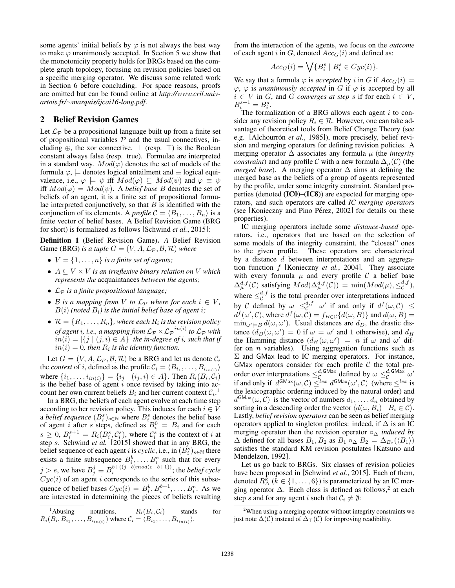some agents' initial beliefs by  $\varphi$  is not always the best way to make  $\varphi$  unanimously accepted. In Section 5 we show that the monotonicity property holds for BRGs based on the complete graph topology, focusing on revision policies based on a specific merging operator. We discuss some related work in Section 6 before concluding. For space reasons, proofs are omitted but can be found online at *http://www.cril.univartois.fr/*⇠*marquis/ijcai16-long.pdf*.

## 2 Belief Revision Games

Let  $\mathcal{L}_{\mathcal{P}}$  be a propositional language built up from a finite set of propositional variables  $P$  and the usual connectives, including  $\oplus$ , the xor connective.  $\perp$  (resp.  $\top$ ) is the Boolean constant always false (resp. true). Formulae are interpreted in a standard way.  $Mod(\varphi)$  denotes the set of models of the formula  $\varphi$ ,  $\models$  denotes logical entailment and  $\equiv$  logical equivalence, i.e.,  $\varphi \models \psi$  iff  $Mod(\varphi) \subseteq Mod(\psi)$  and  $\varphi \equiv \psi$ iff  $Mod(\varphi) = Mod(\psi)$ . A *belief base B* denotes the set of beliefs of an agent, it is a finite set of propositional formulae interpreted conjunctively, so that *B* is identified with the conjunction of its elements. A *profile*  $C = \langle B_1, \ldots, B_n \rangle$  is a finite vector of belief bases. A Belief Revision Game (BRG for short) is formalized as follows [Schwind *et al.*, 2015]:

Definition 1 (Belief Revision Game). *A* Belief Revision Game (BRG) *is a tuple*  $G = (V, A, \mathcal{L}_{\mathcal{P}}, \mathcal{B}, \mathcal{R})$  *where* 

- $V = \{1, \ldots, n\}$  *is a finite set of agents;*
- $A \subseteq V \times V$  *is an irreflexive binary relation on V which represents the* acquaintances *between the agents;*
- *L<sup>P</sup> is a finite propositional language;*
- *B is a mapping from V to*  $\mathcal{L}_P$  *where for each*  $i \in V$ *,*  $B(i)$  (noted  $B_i$ ) is the initial belief base of agent *i*;
- $\mathcal{R} = \{R_1, \ldots, R_n\}$ , where each  $R_i$  *is the revision policy of agent i, i.e., a mapping from*  $\mathcal{L}_{\mathcal{P}} \times \mathcal{L}_{\mathcal{P}}^{in(i)}$  *to*  $\mathcal{L}_{\mathcal{P}}$  *with*  $in(i) = |\{j \mid (j,i) \in A\}|$  *the in-degree of i, such that if*  $in(i) = 0$ *, then*  $R_i$  *is the identity function.*

Let  $G = (V, A, \mathcal{L}_{\mathcal{P}}, \mathcal{B}, \mathcal{R})$  be a BRG and let us denote  $\mathcal{C}_i$ the *context* of *i*, defined as the profile  $C_i = \langle B_{i_1}, \ldots, B_{i_{in}(i)} \rangle$ where  $\{i_1, \ldots, i_{in(i)}\} = \{i_j | (i_j, i) \in A\}$ . Then  $R_i(B_i, C_i)$ is the belief base of agent *i* once revised by taking into account her own current beliefs  $B_i$  and her current context  $C_i$ .<sup>1</sup>

In a BRG, the beliefs of each agent evolve at each time step according to her revision policy. This induces for each  $i \in V$ a *belief sequence*  $(B_i^s)_{s \in \mathbb{N}}$  where  $B_i^s$  denotes the belief base of agent *i* after *s* steps, defined as  $B_i^0 = B_i$  and for each  $s \geq 0$ ,  $B_i^{s+1} = R_i(B_i^s, C_i^s)$ , where  $C_i^s$  is the context of *i* at step *s*. Schwind *et al.* [2015] showed that in any BRG, the belief sequence of each agent *i* is *cyclic*, i.e., in  $(B_i^s)_{s \in \mathbb{N}}$  there exists a finite subsequence  $B_i^b, \ldots, B_i^e$  such that for every  $j > e$ , we have  $B_j^j \equiv B_i^{b+((j-b)mod(e-b+1))}$ ; the *belief cycle*  $Cyc(i)$  of an agent *i* corresponds to the series of this subsequence of belief bases  $Cyc(i) = B_i^b, B_i^{b+1}, \ldots, B_i^e$ . As we are interested in determining the pieces of beliefs resulting from the interaction of the agents, we focus on the *outcome* of each agent *i* in *G*, denoted  $Acc_G(i)$  and defined as:

$$
Acc_G(i) = \bigvee \{ B^s_i \mid B^s_i \in Cyc(i) \}.
$$

We say that a formula  $\varphi$  is *accepted* by *i* in *G* if  $Acc_G(i)$   $=$  $\varphi$ ,  $\varphi$  is *unanimously accepted* in *G* if  $\varphi$  is accepted by all  $i \in V$  in *G*, and *G converges at step s* if for each  $i \in V$ ,  $B_i^{s+1} = B_i^s$ .

The formalization of a BRG allows each agent *i* to consider any revision policy  $R_i \in \mathcal{R}$ . However, one can take advantage of theoretical tools from Belief Change Theory (see e.g. [Alchourrón *et al.*, 1985]), more precisely, belief revision and merging operators for defining revision policies. A merging operator  $\Delta$  associates any formula  $\mu$  (the *integrity constraint*) and any profile *C* with a new formula  $\Delta_{\mu}(\mathcal{C})$  (the *merged base*). A merging operator  $\Delta$  aims at defining the merged base as the beliefs of a group of agents represented by the profile, under some integrity constraint. Standard properties (denoted (IC0)–(IC8)) are expected for merging operators, and such operators are called *IC merging operators* (see [Konieczny and Pino Pérez,  $2002$ ] for details on these properties).

IC merging operators include some *distance-based* operators, i.e., operators that are based on the selection of some models of the integrity constraint, the "closest" ones to the given profile. These operators are characterized by a distance *d* between interpretations and an aggregation function *f* [Konieczny *et al.*, 2004]. They associate with every formula  $\mu$  and every profile  $\mathcal C$  a belief base  $\Delta_{\mu}^{d,f}(\mathcal{C})$  satisfying  $Mod(\Delta_{\mu}^{d,f}(\mathcal{C})) = \min(Mod(\mu), \leq_{\mathcal{C}}^{d,f}),$ where  $\leq_c^{d,f}$  is the total preorder over interpretations induced by *C* defined by  $\omega \leq_c^{d,f} \omega'$  if and only if  $d^f(\omega, C) \leq$  $d^f(\omega', C)$ , where  $d^f(\omega, C) = f_{B \in C} \{d(\omega, B)\}$  and  $d(\omega, B) =$  $\min_{\omega' \models B} d(\omega, \omega')$ . Usual distances are  $d_D$ , the drastic distance  $(d_D(\omega, \omega') = 0$  if  $\omega = \omega'$  and 1 otherwise), and  $d_H$ the Hamming distance  $(d_H(\omega, \omega') = n$  if  $\omega$  and  $\omega'$  differ on *n* variables). Using aggregation functions such as  $\Sigma$  and GMax lead to IC merging operators. For instance, GMax operators consider for each profile *C* the total preorder over interpretations  $\leq_c^{d, \text{GMax}}$  defined by  $\omega \leq_c^{d, \text{GMax}}$   $\omega'$ if and only if  $d^{\text{GMax}}(\omega, C) \leq^{lex} d^{\text{GMax}}(\omega', C)$  (where  $\leq^{lex}$  is the lexicographic ordering induced by the natural order) and  $d^{GMax}(\omega, \vec{C})$  is the vector of numbers  $d_1, \ldots, d_n$  obtained by sorting in a descending order the vector  $\langle d(\omega, B_i) | B_i \in C \rangle$ . Lastly, *belief revision operators* can be seen as belief merging operators applied to singleton profiles: indeed, if  $\Delta$  is an IC merging operator then the revision operator  $\circ_{\Delta}$  *induced by*  $\Delta$  defined for all bases  $B_1, B_2$  as  $B_1 \circ_{\Delta} B_2 = \Delta_{B_2} (\langle B_1 \rangle)$ satisfies the standard KM revision postulates [Katsuno and Mendelzon, 1992].

Let us go back to BRGs. Six classes of revision policies have been proposed in [Schwind *et al.*, 2015]. Each of them, denoted  $R_{\Delta}^{k}$  ( $k \in \{1, ..., 6\}$ ) is parameterized by an IC merging operator  $\Delta$ . Each class is defined as follows,<sup>2</sup> at each step *s* and for any agent *i* such that  $C_i \neq \emptyset$ :

 $<sup>1</sup>$ Abusing</sup> Abusing notations,  $R_i(B_i, C_i)$  stands for  $R_i(B_i, B_{i_1}, \ldots, B_{i_{in(i)}})$  where  $C_i = \langle B_{i_1}, \ldots, B_{i_{in(i)}} \rangle$ .

<sup>&</sup>lt;sup>2</sup>When using a merging operator without integrity constraints we just note  $\Delta(\mathcal{C})$  instead of  $\Delta_{\top}(\mathcal{C})$  for improving readibility.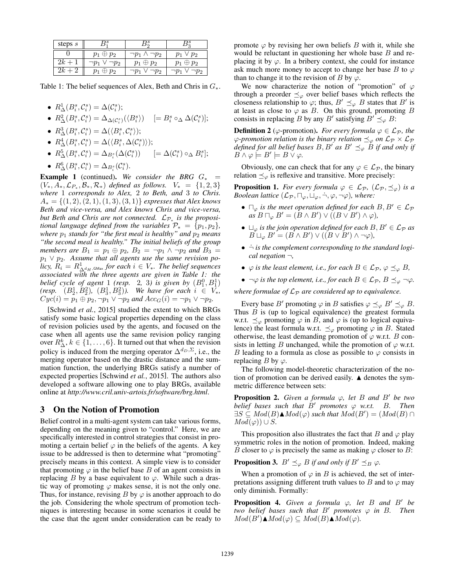| steps s |                 |                            |                 |
|---------|-----------------|----------------------------|-----------------|
|         | $p_1\oplus p_2$ | $\neg p_1$ .<br>$\neg p_2$ | $p_1 \vee p_2$  |
| 2k      | $\neg p_2$      | $p_1\oplus p_2$            | $p_1\oplus p_2$ |
| $v_k$   | $\oplus p_2$    | $\emph{p}_2$               | פµי             |

Table 1: The belief sequences of Alex, Beth and Chris in  $G_*$ .

- $R_{\Delta}^1(B_i^s, \mathcal{C}_i^s) = \Delta(\mathcal{C}_i^s);$
- $R^2_{\Delta}(B_i^s, \mathcal{C}_i^s) = \Delta_{\Delta(\mathcal{C}_i^s)}(\langle B_i^s \rangle) \quad [ = B_i^s \circ_{\Delta} \Delta(\mathcal{C}_i^s) ]$ ;
- $R_{\Delta}^3(B_i^s, \mathcal{C}_i^s) = \Delta(\langle B_i^s, \mathcal{C}_i^s \rangle);$
- $R_{\Delta}^4(B_i^s, \mathcal{C}_i^s) = \Delta(\langle B_i^s, \Delta(\mathcal{C}_i^s) \rangle);$
- $R_{\Delta}^{5}(B_{i}^{s}, \mathcal{C}_{i}^{s}) = \Delta_{B_{i}^{s}}(\Delta(\mathcal{C}_{i}^{s}))$   $[=\Delta(\mathcal{C}_{i}^{s}) \circ_{\Delta} B_{i}^{s}]$ ;
- $R_{\Delta}^{6}(B_{i}^{s}, \mathcal{C}_{i}^{s}) = \Delta_{B_{i}^{s}}(\mathcal{C}_{i}^{s}).$

**Example 1** (continued). We consider the BRG  $G_*$  =  $(V_*, A_*, \mathcal{L}_{P_*}, \mathcal{B}_*, \mathcal{R}_*)$  *defined as follows.*  $V_* = \{1, 2, 3\}$ *where* 1 *corresponds to Alex,* 2 *to Beth, and* 3 *to Chris.*  $A_* = \{(1, 2), (2, 1), (1, 3), (3, 1)\}$  *expresses that Alex knows Beth and vice-versa, and Alex knows Chris and vice-versa, but Beth and Chris are not connected.*  $\mathcal{L}_{\mathcal{P}_+}$  *is the propositional language defined from the variables*  $\mathcal{P}_* = \{p_1, p_2\}$ *, where*  $p_1$  *stands for "the first meal is healthy" and*  $p_2$  *means "the second meal is healthy." The initial beliefs of the group members are*  $B_1 = p_1 \oplus p_2$ ,  $B_2 = \neg p_1 \land \neg p_2$  *and*  $B_3 =$  $p_1 \vee p_2$ . Assume that all agents use the same revision po*licy,*  $R_i = R^1_{\Delta^d H, \text{GMax}}$  for each  $i \in V_*$ . The belief sequences *associated with the three agents are given in Table 1: the belief cycle of agent* 1 *(resp.* 2, 3) *is given by*  $(B_1^0, B_1^1)$ *(resp.*  $(B_2^1, B_2^2)$ *,*  $(B_3^1, B_3^2)$ *). We have for each*  $i \in V_*$ *,*  $Cyc(i) = p_1 \oplus p_2, \neg p_1 \vee \neg p_2$  and  $Acc_G(i) = \neg p_1 \vee \neg p_2$ .

[Schwind *et al.*, 2015] studied the extent to which BRGs satisfy some basic logical properties depending on the class of revision policies used by the agents, and focused on the case when all agents use the same revision policy ranging over  $R^k_{\Delta}$ ,  $k \in \{1, \ldots, 6\}$ . It turned out that when the revision policy is induced from the merging operator  $\Delta^{d_D, \Sigma}$ , i.e., the merging operator based on the drastic distance and the summation function, the underlying BRGs satisfy a number of expected properties [Schwind *et al.*, 2015]. The authors also developed a software allowing one to play BRGs, available online at *http://www.cril.univ-artois.fr/software/brg.html*.

#### 3 On the Notion of Promotion

Belief control in a multi-agent system can take various forms, depending on the meaning given to "control." Here, we are specifically interested in control strategies that consist in promoting a certain belief  $\varphi$  in the beliefs of the agents. A key issue to be addressed is then to determine what "promoting" precisely means in this context. A simple view is to consider that promoting  $\varphi$  in the belief base *B* of an agent consists in replacing *B* by a base equivalent to  $\varphi$ . While such a drastic way of promoting  $\varphi$  makes sense, it is not the only one. Thus, for instance, revising  $B$  by  $\varphi$  is another approach to do the job. Considering the whole spectrum of promotion techniques is interesting because in some scenarios it could be the case that the agent under consideration can be ready to promote  $\varphi$  by revising her own beliefs *B* with it, while she would be reluctant in questioning her whole base *B* and replacing it by  $\varphi$ . In a bribery context, she could for instance ask much more money to accept to change her base *B* to  $\varphi$ than to change it to the revision of *B* by  $\varphi$ .

We now characterize the notion of "promotion" of  $\varphi$ through a preorder  $\preceq_{\varphi}$  over belief bases which reflects the closeness relationship to  $\varphi$ ; thus,  $B' \preceq_{\varphi} B$  states that *B'* is at least as close to  $\varphi$  as *B*. On this ground, promoting *B* consists in replacing *B* by any *B'* satisfying  $B' \preceq_{\varphi} B$ :

**Definition 2** ( $\varphi$ -promotion). *For every formula*  $\varphi \in \mathcal{L}_{\mathcal{P}}$ *, the*  $\varphi$ -promotion relation is the binary relation  $\preceq_{\varphi}$  on  $\mathcal{L}_{\mathcal{P}} \times \mathcal{L}_{\mathcal{P}}$ *defined for all belief bases*  $B, B'$  *as*  $B' \preceq_{\varphi} B$  *if and only if*  $B \wedge \varphi \models B' \models B \vee \varphi$ .

Obviously, one can check that for any  $\varphi \in \mathcal{L}_{\mathcal{P}}$ , the binary relation  $\preceq_{\varphi}$  is reflexive and transitive. More precisely:

**Proposition 1.** For every formula  $\varphi \in \mathcal{L}_{\mathcal{P}}$ ,  $(\mathcal{L}_{\mathcal{P}}, \preceq_{\varphi})$  is a *Boolean lattice*  $(L_p, \Pi_\varphi, \Box_\varphi, \neg, \varphi, \neg \varphi)$ *, where:* 

- $\Box_{\varphi}$  *is the meet operation defined for each*  $B, B' \in \mathcal{L}_{\mathcal{P}}$  $as B \sqcap_{\varphi} B' = (B \wedge B') \vee ((B \vee B') \wedge \varphi),$
- $\sqcup_{\varphi}$  *is the join operation defined for each*  $B, B' \in \mathcal{L}_{\mathcal{P}}$  *as*  $B \sqcup_{\varphi} B' = (B \wedge B') \vee ((B \vee B') \wedge \neg \varphi),$
- *• ¬*˙ *is the complement corresponding to the standard logical negation ¬,*
- $\varphi$  *is the least element, i.e., for each*  $B \in \mathcal{L}_{\mathcal{P}}$ ,  $\varphi \preceq_{\varphi} B$ ,
- $\neg \varphi$  *is the top element, i.e., for each*  $B \in \mathcal{L}_{\mathcal{P}}$ ,  $B \preceq_{\varphi} \neg \varphi$ .

*where formulae of*  $L_p$  *are considered up to equivalence.* 

Every base *B'* promoting  $\varphi$  in *B* satisfies  $\varphi \preceq_{\varphi} B' \preceq_{\varphi} B$ . Thus *B* is (up to logical equivalence) the greatest formula w.r.t.  $\preceq_{\varphi}$  promoting  $\varphi$  in *B*, and  $\varphi$  is (up to logical equivalence) the least formula w.r.t.  $\preceq_{\varphi}$  promoting  $\varphi$  in *B*. Stated otherwise, the least demanding promotion of  $\varphi$  w.r.t. *B* consists in letting *B* unchanged, while the promotion of  $\varphi$  w.r.t. *B* leading to a formula as close as possible to  $\varphi$  consists in replacing *B* by  $\varphi$ .

The following model-theoretic characterization of the notion of promotion can be derived easily.  $\triangle$  denotes the symmetric difference between sets:

**Proposition 2.** Given a formula  $\varphi$ , let B and B' be two *belief bases such that*  $B'$  *promotes*  $\varphi$  *w.r.t.*  $B$ *. Then*  $\exists S \subseteq Mod(B) \blacktriangle Mod(\varphi)$  such that  $Mod(B') = (Mod(B) \cap$  $Mod(\varphi) \cup S$ *.* 

This proposition also illustrates the fact that *B* and  $\varphi$  play symmetric roles in the notion of promotion. Indeed, making *B* closer to  $\varphi$  is precisely the same as making  $\varphi$  closer to *B*:

**Proposition 3.**  $B' \preceq_{\varphi} B$  *if and only if*  $B' \preceq_B \varphi$ *.* 

When a promotion of  $\varphi$  in *B* is achieved, the set of interpretations assigning different truth values to *B* and to  $\varphi$  may only diminish. Formally:

**Proposition 4.** Given a formula  $\varphi$ , let *B* and *B'* be *two belief bases such that*  $B'$  *promotes*  $\varphi$  *in*  $B$ *. Then*  $Mod(B') \triangleq Mod(\varphi) \subseteq Mod(B) \triangleq Mod(\varphi)$ .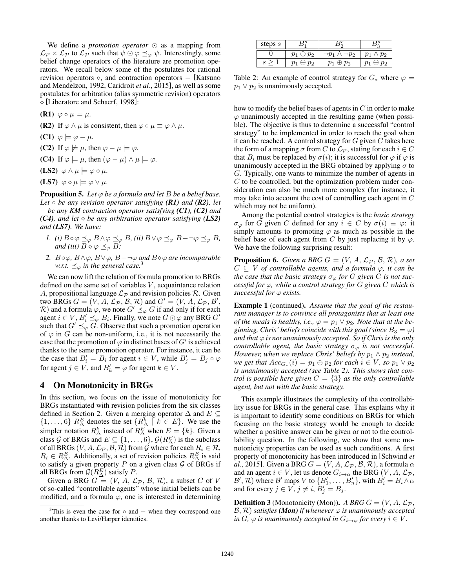We define a *promotion operator*  $\odot$  as a mapping from  $\mathcal{L}_P \times \mathcal{L}_P$  to  $\mathcal{L}_P$  such that  $\psi \odot \varphi \preceq_{\varphi} \psi$ . Interestingly, some belief change operators of the literature are promotion operators. We recall below some of the postulates for rational revision operators  $\circ$ , and contraction operators  $-$  [Katsuno and Mendelzon, 1992, Caridroit *et al.*, 2015], as well as some postulates for arbitration (alias symmetric revision) operators ⇧ [Liberatore and Schaerf, 1998]:

 $(R1) \varphi \circ \mu \models \mu.$ 

- **(R2)** If  $\varphi \wedge \mu$  is consistent, then  $\varphi \circ \mu \equiv \varphi \wedge \mu$ .
- $(C1)$   $\varphi \models \varphi \mu$ .
- (C2) If  $\varphi \not\models \mu$ , then  $\varphi \mu \models \varphi$ .
- (C4) If  $\varphi \models \mu$ , then  $(\varphi \mu) \land \mu \models \varphi$ .
- (LS2)  $\varphi \wedge \mu \models \varphi \diamond \mu$ .
- $(LS7) \varphi \diamond \mu \models \varphi \vee \mu.$

**Proposition 5.** Let  $\varphi$  be a formula and let B be a belief base. *Let be any revision operator satisfying (R1) and (R2), let be any KM contraction operator satisfying (C1), (C2) and (C4), and let*  $\diamond$  *be any arbitration operator satisfying (LS2) and (LS7). We have:*

- *1.* (i)  $B \circ \varphi \preceq_{\varphi} B \land \varphi \preceq_{\varphi} B$ , (ii)  $B \lor \varphi \preceq_{\varphi} B$  $\to \neg \varphi \preceq_{\varphi} B$ , *and (iii)*  $B \diamond \varphi \preceq_{\varphi} B$ ;
- 2.  $B \circ \varphi$ ,  $B \wedge \varphi$ ,  $B \vee \varphi$ ,  $B \neg \varphi$  and  $B \diamond \varphi$  are incomparable *w.r.t.*  $\preceq_{\varphi}$  *in the general case.*<sup>3</sup>

We can now lift the relation of formula promotion to BRGs defined on the same set of variables *V* , acquaintance relation *A*, propositional language  $\mathcal{L}_P$  and revision policies  $\mathcal{R}$ . Given two BRGs  $G = (V, A, \mathcal{L}_{\mathcal{P}}, \mathcal{B}, \mathcal{R})$  and  $G' = (V, A, \mathcal{L}_{\mathcal{P}}, \mathcal{B}', \mathcal{R})$ *R*) and a formula  $\varphi$ , we note  $G' \preceq_{\varphi} G$  if and only if for each agent  $i \in V$ ,  $B_i' \preceq_{\varphi} B_i$ . Finally, we note  $G \odot \varphi$  any BRG  $G'$ such that  $G' \preceq_{\varphi} G$ . Observe that such a promotion operation of  $\varphi$  in *G* can be non-uniform, i.e., it is not necessarily the case that the promotion of  $\varphi$  in distinct bases of *G'* is achieved thanks to the same promotion operator. For instance, it can be the case that  $B_i' = B_i$  for agent  $i \in V$ , while  $B_j' = B_j \circ \varphi$ for agent  $j \in V$ , and  $B'_k = \varphi$  for agent  $k \in V$ .

#### 4 On Monotonicity in BRGs

In this section, we focus on the issue of monotonicity for BRGs instantiated with revision policies from the six classes defined in Section 2. Given a merging operator  $\Delta$  and  $E \subseteq$  $\{1, \ldots, 6\}$  *R*<sup>*E*</sup><sub> $\Delta$ </sub> denotes the set  $\{R_{\Delta}^{k} \mid k \in E\}$ . We use the simpler notation  $R^k_{\Delta}$  instead of  $R^E_{\Delta}$  when  $E = \{k\}$ . Given a class *G* of BRGs and  $E \subseteq \{1, \ldots, 6\}$ ,  $\mathcal{G}(R_{\Delta}^{E})$  is the subclass of all BRGs  $(V, A, \mathcal{L}_{\mathcal{P}}, \mathcal{B}, \mathcal{R})$  from  $\mathcal{G}$  where for each  $R_i \in \mathcal{R}$ ,  $R_i \in R_{\Delta}^E$ . Additionally, a set of revision policies  $R_{\Delta}^E$  is said to satisfy a given property  $P$  on a given class  $G$  of BRGs if all BRGs from  $\mathcal{G}(R_{\Delta}^E)$  satisfy *P*.

Given a BRG  $G = (V, A, \mathcal{L}_{\mathcal{P}}, \mathcal{B}, \mathcal{R})$ , a subset *C* of *V* of so-called "controllable agents" whose initial beliefs can be modified, and a formula  $\varphi$ , one is interested in determining

| steps $s$ |       |       |       |
|-----------|-------|-------|-------|
|           | $p_2$ |       | $v_2$ |
|           | $p_2$ | $p_2$ | $v_2$ |

Table 2: An example of control strategy for  $G_*$  where  $\varphi =$  $p_1 \vee p_2$  is unanimously accepted.

how to modify the belief bases of agents in *C* in order to make  $\varphi$  unanimously accepted in the resulting game (when possible). The objective is thus to determine a successful "control strategy" to be implemented in order to reach the goal when it can be reached. A control strategy for *G* given *C* takes here the form of a mapping  $\sigma$  from *C* to  $\mathcal{L}_{\mathcal{P}}$ , stating for each  $i \in C$ that  $B_i$  must be replaced by  $\sigma(i)$ ; it is successful for  $\varphi$  if  $\varphi$  is unanimously accepted in the BRG obtained by applying  $\sigma$  to *G*. Typically, one wants to minimize the number of agents in *C* to be controlled, but the optimization problem under consideration can also be much more complex (for instance, it may take into account the cost of controlling each agent in *C* which may not be uniform).

Among the potential control strategies is the *basic strategy*  $\sigma_{\varphi}$  for *G* given *C* defined for any  $i \in C$  by  $\sigma(i) \equiv \varphi$ : it simply amounts to promoting  $\varphi$  as much as possible in the belief base of each agent from C by just replacing it by  $\varphi$ . We have the following surprising result:

**Proposition 6.** *Given a BRG*  $G = (V, A, \mathcal{L}_{\mathcal{P}}, \mathcal{B}, \mathcal{R})$ *, a set*  $C \subseteq V$  *of controllable agents, and a formula*  $\varphi$ *, it can be the case that the basic strategy*  $\sigma_{\varphi}$  *for G given C is not successful for*  $\varphi$ , while a control strategy for G given C which is *successful for*  $\varphi$  *exists.* 

Example 1 (continued). *Assume that the goal of the restaurant manager is to convince all protagonists that at least one of the meals is healthy, i.e.,*  $\varphi = p_1 \vee p_2$ *. Note that at the beginning, Chris' beliefs coincide with this goal (since*  $B_3 = \varphi$ ) and that  $\varphi$  is not unanimously accepted. So if Chris is the only *controllable agent, the basic strategy*  $\sigma_{\varphi}$  *is not successful. However, when we replace Chris' beliefs by*  $p_1 \wedge p_2$  *instead, we get that*  $Acc_{G_*}(i) = p_1 \oplus p_2$  *for each*  $i \in V$ *, so*  $p_1 \vee p_2$ *is unanimously accepted (see Table 2). This shows that control is possible here given*  $C = \{3\}$  *as the only controllable agent, but not with the basic strategy.*

This example illustrates the complexity of the controllability issue for BRGs in the general case. This explains why it is important to identify some conditions on BRGs for which focusing on the basic strategy would be enough to decide whether a positive answer can be given or not to the controllability question. In the following, we show that some monotonicity properties can be used as such conditions. A first property of monotonicity has been introduced in [Schwind *et al.*, 2015]. Given a BRG  $G = (V, A, \mathcal{L}_{\mathcal{P}}, \mathcal{B}, \mathcal{R})$ , a formula  $\alpha$ and an agent  $i \in V$  , let us denote  $G_{i \to \alpha}$  the BRG  $(V, A, \mathcal{L}_{\mathcal{P}},$  $B', \mathcal{R}$ ) where  $B'$  maps *V* to  $\{B'_1, \ldots, B'_n\}$ , with  $B'_i = B_i \wedge \alpha$ and for every  $j \in V$ ,  $j \neq i$ ,  $B'_j = B_j$ .

**Definition 3** (Monotonicity (Mon)). *A BRG*  $G = (V, A, \mathcal{L}_{\mathcal{P}},$  $(B, \mathcal{R})$  *satisfies* (*Mon*) *if whenever*  $\varphi$  *is unanimously accepted in G*,  $\varphi$  *is unanimously accepted in*  $G_{i\to\varphi}$  *for every*  $i \in V$ .

<sup>&</sup>lt;sup>3</sup>This is even the case for  $\circ$  and  $-$  when they correspond one another thanks to Levi/Harper identities.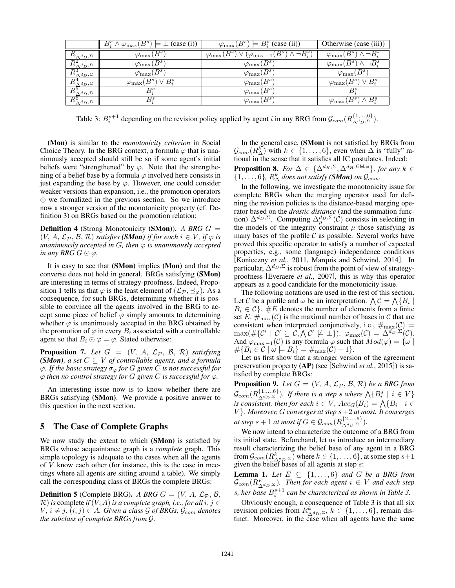|                                         | $B_i^s \wedge \varphi_{\max}(B^s) \models \bot$ (case (i)) | $\varphi_{\text{max}}(B^s) \models B_i^s$ (case (ii))                | Otherwise (case (iii))                             |
|-----------------------------------------|------------------------------------------------------------|----------------------------------------------------------------------|----------------------------------------------------|
| $R^{\texttt{L}}_{\Delta^d D},\Sigma$    | $\varphi_{\max}(B^s)$                                      | $\varphi_{\max}(B^s) \vee (\varphi_{\max-1}(B^s) \wedge \neg B_i^s)$ | $\varphi_{\max}(B^s) \wedge \neg \overline{B^s_i}$ |
| $R^2_{\Delta^{d_D,\Sigma}}$             | $\varphi_{\rm max}(B^{\bar{s}})$                           | $\varphi_{\max}(B^{\bar{s}})$                                        | $\varphi_{\max}(B^s) \wedge \neg \overline{B^s_i}$ |
| $\overline{R^3_{\Delta^{d_D,\Sigma}}}$  | $\varphi_{\rm max}(B^{\bar{s}})$                           | $\varphi_{\max}(B^s)$                                                | $\varphi_{\max}(B^s)$                              |
| $R^4_{\Delta^d D},$ $\Sigma$            | $\varphi_{\max}(B^s) \vee \overline{B^s_i}$                | $\varphi_{\max}(B^s)$                                                | $\varphi_{\max}(B^s) \vee \bar{B^s_i}$             |
| $R^5_{\Delta^d D,\Sigma}$               | Вš                                                         | $\varphi_{\max}(B^s)$                                                | $B_i^s$                                            |
| $\overline{D6}$<br>$\wedge d_D, \Sigma$ | Вª                                                         | $\varphi_{\max}(B^s)$                                                | $\wedge B_i^s$<br>$\varphi_{\max}(B^s)$ ,          |

Table 3:  $B_i^{s+1}$  depending on the revision policy applied by agent *i* in any BRG from  $\mathcal{G}_{com}(R_{\Delta^{d_D},\Sigma}^{\{1,\ldots,6\}})$ .

(Mon) is similar to the *monotonicity criterion* in Social Choice Theory. In the BRG context, a formula  $\varphi$  that is unanimously accepted should still be so if some agent's initial beliefs were "strengthened" by  $\varphi$ . Note that the strengthening of a belief base by a formula  $\varphi$  involved here consists in just expanding the base by  $\varphi$ . However, one could consider weaker versions than expansion, i.e., the promotion operators  $\odot$  we formalized in the previous section. So we introduce now a stronger version of the monotonicity property (cf. Definition 3) on BRGs based on the promotion relation:

Definition 4 (Strong Monotonicity (SMon)). *A BRG G* =  $(V, A, \mathcal{L}_{\mathcal{P}}, \mathcal{B}, \mathcal{R})$  *satisfies* (*SMon*) *if for each*  $i \in V$ *, if*  $\varphi$  *is unanimously accepted in G, then*  $\varphi$  *is unanimously accepted in any BRG*  $G \odot \varphi$ *.* 

It is easy to see that (SMon) implies (Mon) and that the converse does not hold in general. BRGs satisfying (SMon) are interesting in terms of strategy-proofness. Indeed, Proposition 1 tells us that  $\varphi$  is the least element of  $(\mathcal{L}_P, \preceq_{\varphi})$ . As a consequence, for such BRGs, determining whether it is possible to convince all the agents involved in the BRG to accept some piece of belief  $\varphi$  simply amounts to determining whether  $\varphi$  is unanimously accepted in the BRG obtained by the promotion of  $\varphi$  in every  $B_i$  associated with a controllable agent so that  $B_i \odot \varphi = \varphi$ . Stated otherwise:

**Proposition 7.** Let  $G = (V, A, \mathcal{L}_P, \mathcal{B}, \mathcal{R})$  satisfying *(SMon)*, a set  $C \subseteq V$  of controllable agents, and a formula  $\varphi$ . If the basic strategy  $\sigma_{\varphi}$  for G given C is not successful for  $\varphi$  then no control strategy for G given C is successful for  $\varphi$ .

An interesting issue now is to know whether there are BRGs satisfying (SMon). We provide a positive answer to this question in the next section.

## 5 The Case of Complete Graphs

We now study the extent to which (SMon) is satisfied by BRGs whose acquaintance graph is a *complete* graph. This simple topology is adequate to the cases when all the agents of *V* know each other (for instance, this is the case in meetings where all agents are sitting around a table). We simply call the corresponding class of BRGs the complete BRGs:

**Definition 5** (Complete BRG). *A BRG*  $G = (V, A, \mathcal{L}_P, \mathcal{B},$  $R$ ) *is* complete *if*  $(V, A)$  *is a complete graph, i.e., for all*  $i, j \in$  $V, i \neq j, (i, j) \in A$ *. Given a class*  $G$  *of BRGs,*  $G_{com}$  *denotes the subclass of complete BRGs from G.*

In the general case, (SMon) is not satisfied by BRGs from  $\mathcal{G}_{com}(R_{\Delta}^k)$  with  $k \in \{1, \ldots, 6\}$ , even when  $\Delta$  is "fully" rational in the sense that it satisfies all IC postulates. Indeed: **Proposition 8.** For  $\Delta \in \{\Delta^{d_H, \Sigma}, \Delta^{d_H, \text{GMax}}\}$ , for any  $k \in$  $\{1, \ldots, 6\}$ *,*  $R_{\Delta}^{k}$  *does not satisfy (SMon) on*  $\mathcal{G}_{com}$ *.* 

In the following, we investigate the monotonicity issue for complete BRGs when the merging operator used for defining the revision policies is the distance-based merging operator based on the *drastic distance* (and the summation function)  $\Delta^{d_D, \Sigma}$ . Computing  $\Delta^{d_D, \Sigma}_{\mu}$  (*C*) consists in selecting in the models of the integrity constraint  $\mu$  those satisfying as many bases of the profile  $C$  as possible. Several works have proved this specific operator to satisfy a number of expected properties, e.g., some (language) independence conditions [Konieczny *et al.*, 2011, Marquis and Schwind, 2014]. In particular,  $\Delta^{d_D, \Sigma}$  is robust from the point of view of strategyproofness [Everaere *et al.*, 2007], this is why this operator appears as a good candidate for the monotonicity issue.

The following notations are used in the rest of this section. Let C be a profile and  $\omega$  be an interpretation.  $\bigwedge \mathcal{C} = \bigwedge \{B_i \mid$  $B_i \in \mathcal{C}$ . #E denotes the number of elements from a finite set *E*.  $\#_{\text{max}}(\mathcal{C})$  is the maximal number of bases in  $\mathcal C$  that are consistent when interpreted conjunctively, i.e.,  $\#_{\text{max}}(\mathcal{C}) =$  $\max(\#\{\mathcal{C}^{\prime} \mid \mathcal{C}^{\prime} \subseteq \mathcal{C}, \bigwedge \mathcal{C}^{\prime} \not\models \bot\})$ .  $\varphi_{\max}(\mathcal{C}) = \overline{\Delta^{d_D, \Sigma}(\mathcal{C})}$ . And  $\varphi_{\text{max}-1}(\mathcal{C})$  is any formula  $\varphi$  such that  $Mod(\varphi) = {\omega \mid \varphi}$  $# \{ B_i \in C \mid \omega \models B_i \} = \#_{\max}(C) - 1 \}.$ 

Let us first show that a stronger version of the agreement preservation property (AP) (see [Schwind *et al.*, 2015]) is satisfied by complete BRGs:

**Proposition 9.** Let  $G = (V, A, \mathcal{L}_{\mathcal{P}}, \mathcal{B}, \mathcal{R})$  be a BRG from  $\mathcal{G}_{com}(R_{\Delta^{d_D},\Sigma}^{\{1,...,6\}})$ *. If there is a step s where*  $\bigwedge \{B_i^s \mid i \in V\}$ *is consistent, then for each*  $i \in V$ *,*  $Acc_G(B_i) = \bigwedge \{B_i \mid i \in V\}$ *V }. Moreover, G converges at step s*+2 *at most. It converges*  $\mathcal{A}$  *at step*  $s + 1$  *at most if*  $G \in \mathcal{G}_{com}(R_{\Delta^{d_D},\Sigma}^{\{2,\ldots,6\}})$ .

We now intend to characterize the outcome of a BRG from its initial state. Beforehand, let us introduce an intermediary result characterizing the belief base of any agent in a BRG from  $\mathcal{G}_{com}(R_{\Delta^d p, \Sigma}^k)$  where  $k \in \{1, \ldots, 6\}$ , at some step  $s+1$  given the belief bases of all agents at step *s*:

**Lemma 1.** Let  $E \subseteq \{1, \ldots, 6\}$  and  $G$  be a BRG from  $\mathcal{G}_{com}(R_{\Delta^d p,\Sigma}^E)$ . Then for each agent  $i \in V$  and each step *s, her base B<sup>s</sup>*+1 *<sup>i</sup> can be characterized as shown in Table 3.*

Obviously enough, a consequence of Table 3 is that all six revision policies from  $R^k_{\Delta^d D, \Sigma}$ ,  $k \in \{1, \ldots, 6\}$ , remain distinct. Moreover, in the case when all agents have the same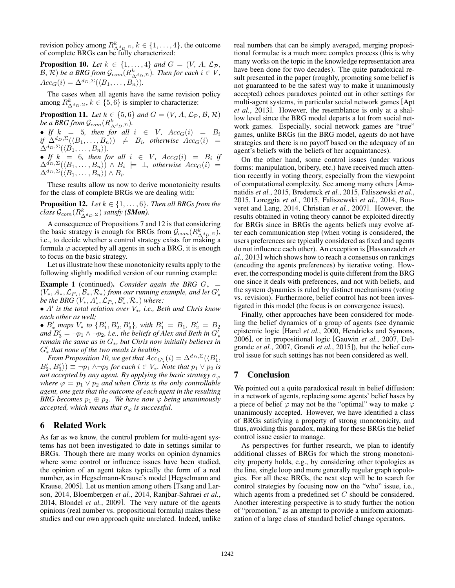revision policy among  $R^k_{\Delta^d(D)}$ ,  $k \in \{1, ..., 4\}$ , the outcome of complete BRGs can be fully characterized:

**Proposition 10.** Let  $k \in \{1, ..., 4\}$  and  $G = (V, A, \mathcal{L}_{\mathcal{P}}, \mathcal{L}_{\mathcal{P}})$ *B*,  $\bar{\mathcal{R}}$ ) *be a BRG from*  $\mathcal{G}_{com}(R_{\Delta^d D},\bar{\Sigma})$ *. Then for each*  $i \in V$ *,*  $Acc_G(i) = \Delta^{d_D, \Sigma}(\langle B_1, \ldots, B_n \rangle).$ 

The cases when all agents have the same revision policy among  $R^k_{\Delta^d D, \Sigma}$ ,  $k \in \{5, 6\}$  is simpler to characterize:

**Proposition 11.** *Let*  $k \in \{5, 6\}$  *and*  $G = (V, A, \mathcal{L}_{\mathcal{P}}, \mathcal{B}, \mathcal{R})$ *be a BRG from*  $\mathcal{G}_{com}(R_{\Delta^{d_D},\Sigma}^k)$ *.* 

• *If*  $k = 5$ , then for all  $i \in V$ ,  $Acc_G(i) = B_i$  $if \Delta^{d_D, \Sigma}(\langle B_1, \ldots, B_n \rangle) \not\models B_i$ , otherwise  $Acc_G(i) =$  $\Delta^{d_D, \Sigma}(\langle \hat{B}_1, \ldots, B_n \rangle).$ 

• *If*  $k = 6$ *, then for all*  $i \in V$ *,*  $Acc_G(i) = B_i$  *if*  $\Delta^{d_D, \Sigma} (\langle B_1, \ldots, B_n \rangle) \wedge B_i \models \bot$ , otherwise  $Acc_G(i)$  =  $\Delta^{d_D, \Sigma} (\langle B_1, \ldots, B_n \rangle) \wedge B_i$ .

These results allow us now to derive monotonicity results for the class of complete BRGs we are dealing with:

**Proposition 12.** *Let*  $k \in \{1, \ldots, 6\}$ *. Then all BRGs from the*  $class~\mathcal{G}_{com}(R^k_{\Delta^d_D,\Sigma})$  satisfy **(SMon)**.

A consequence of Propositions 7 and 12 is that considering the basic strategy is enough for BRGs from  $\mathcal{G}_{com}(R^k_{\Delta^d D},\Sigma)$ , i.e., to decide whether a control strategy exists for making a formula  $\varphi$  accepted by all agents in such a BRG, it is enough to focus on the basic strategy.

Let us illustrate how these monotonicity results apply to the following slightly modified version of our running example:

**Example 1** (continued). *Consider again the BRG*  $G_*$  =  $(V_*, A_*, \mathcal{L}_{P_*}, \mathcal{B}_*, \mathcal{R}_*)$  *from our running example, and let*  $G'_*$ *be the BRG*  $(V_*, A'_*, \mathcal{L}_{P_*}, \mathcal{B}'_*, \mathcal{R}_*)$  where:

*• A*<sup>0</sup> *is the total relation over V*⇤*, i.e., Beth and Chris know each other as well;*

•  $B'_*$  maps  $V_*$  to  $\{B'_1, B'_2, B'_3\}$ , with  $B'_1 = B_1, B'_2 = B_2$ *and*  $B'_3 = \neg p_1 \wedge \neg p_2$ , i.e., the beliefs of Alex and Beth in  $G'_3$  $r_{\text{F}}$   $\frac{F_{\text{F}}}{F_{\text{F}}}$ ,  $\frac{F_{\text{F}}}{F_{\text{F}}}$ ,  $\frac{F_{\text{F}}}{F_{\text{F}}}$ , but Chris now initially believes in  $G'_{\star}$  that none of the two meals is healthy.

*From Proposition 10, we get that Acc<sup>G</sup>*<sup>0</sup> ⇤ (*i*) = *<sup>d</sup>D,*⌃(h*B*<sup>0</sup> 1*,*  $B_2, B_3' \rangle$   $\equiv \neg p_1 \land \neg p_2$  *for each*  $i \in V_*$ *. Note that*  $p_1 \lor p_2$  *is not accepted by any agent. By applying the basic strategy*  $\sigma_{\varphi}$ *where*  $\varphi = p_1 \vee p_2$  *and when Chris is the only controllable agent, one gets that the outcome of each agent in the resulting BRG becomes*  $p_1 \oplus p_2$ *. We have now*  $\varphi$  *being unanimously accepted, which means that*  $\sigma_{\varphi}$  *is successful.* 

## 6 Related Work

As far as we know, the control problem for multi-agent systems has not been investigated to date in settings similar to BRGs. Though there are many works on opinion dynamics where some control or influence issues have been studied, the opinion of an agent takes typically the form of a real number, as in Hegselmann-Krause's model [Hegselmann and Krause, 2005]. Let us mention among others [Tsang and Larson, 2014, Bloembergen *et al.*, 2014, Ranjbar-Sahraei *et al.*, 2014, Blondel *et al.*, 2009]. The very nature of the agents opinions (real number vs. propositional formula) makes these studies and our own approach quite unrelated. Indeed, unlike real numbers that can be simply averaged, merging propositional formulae is a much more complex process (this is why many works on the topic in the knowledge representation area have been done for two decades). The quite paradoxical result presented in the paper (roughly, promoting some belief is not guaranteed to be the safest way to make it unanimously accepted) echoes paradoxes pointed out in other settings for multi-agent systems, in particular social network games [Apt *et al.*, 2013]. However, the resemblance is only at a shallow level since the BRG model departs a lot from social network games. Especially, social network games are "true" games, unlike BRGs (in the BRG model, agents do not have strategies and there is no payoff based on the adequacy of an agent's beliefs with the beliefs of her acquaintances).

On the other hand, some control issues (under various forms: manipulation, bribery, etc.) have received much attention recently in voting theory, especially from the viewpoint of computational complexity. See among many others [Amanatidis *et al.*, 2015, Bredereck *et al.*, 2015, Faliszewski *et al.*, 2015, Loreggia *et al.*, 2015, Faliszewski *et al.*, 2014, Bouveret and Lang, 2014, Christian *et al.*, 2007]. However, the results obtained in voting theory cannot be exploited directly for BRGs since in BRGs the agents beliefs may evolve after each communication step (when voting is considered, the users preferences are typically considered as fixed and agents do not influence each other). An exception is [Hassanzadeh *et al.*, 2013] which shows how to reach a consensus on rankings (encoding the agents preferences) by iterative voting. However, the corresponding model is quite different from the BRG one since it deals with preferences, and not with beliefs, and the system dynamics is ruled by distinct mechanisms (voting vs. revision). Furthermore, belief control has not been investigated in this model (the focus is on convergence issues).

Finally, other approaches have been considered for modeling the belief dynamics of a group of agents (see dynamic epistemic logic [Harel *et al.*, 2000, Hendricks and Symons, 2006], or in propositional logic [Gauwin *et al.*, 2007, Delgrande *et al.*, 2007, Grandi *et al.*, 2015]), but the belief control issue for such settings has not been considered as well.

### 7 Conclusion

We pointed out a quite paradoxical result in belief diffusion: in a network of agents, replacing some agents' belief bases by a piece of belief  $\varphi$  may not be the "optimal" way to make  $\varphi$ unanimously accepted. However, we have identified a class of BRGs satisfying a property of strong monotonicity, and thus, avoiding this paradox, making for these BRGs the belief control issue easier to manage.

As perspectives for further research, we plan to identify additional classes of BRGs for which the strong monotonicity property holds, e.g., by considering other topologies as the line, single loop and more generally regular graph topologies. For all these BRGs, the next step will be to search for control strategies by focusing now on the "who" issue, i.e., which agents from a predefined set *C* should be considered. Another interesting perspective is to study further the notion of "promotion," as an attempt to provide a uniform axiomatization of a large class of standard belief change operators.